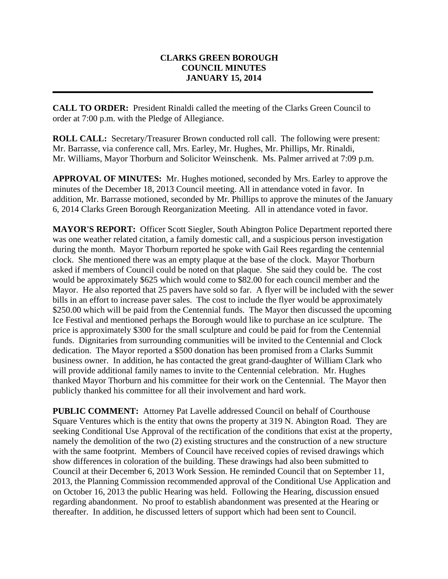# **CLARKS GREEN BOROUGH COUNCIL MINUTES JANUARY 15, 2014**

**CALL TO ORDER:** President Rinaldi called the meeting of the Clarks Green Council to order at 7:00 p.m. with the Pledge of Allegiance.

**\_\_\_\_\_\_\_\_\_\_\_\_\_\_\_\_\_\_\_\_\_\_\_\_\_\_\_\_\_\_\_\_\_\_\_\_\_\_\_\_\_\_\_\_\_\_\_\_\_\_\_\_\_\_\_\_\_\_\_\_\_\_\_\_\_\_\_\_\_\_\_\_\_**

**ROLL CALL:** Secretary/Treasurer Brown conducted roll call. The following were present: Mr. Barrasse, via conference call, Mrs. Earley, Mr. Hughes, Mr. Phillips, Mr. Rinaldi, Mr. Williams, Mayor Thorburn and Solicitor Weinschenk. Ms. Palmer arrived at 7:09 p.m.

**APPROVAL OF MINUTES:** Mr. Hughes motioned, seconded by Mrs. Earley to approve the minutes of the December 18, 2013 Council meeting. All in attendance voted in favor. In addition, Mr. Barrasse motioned, seconded by Mr. Phillips to approve the minutes of the January 6, 2014 Clarks Green Borough Reorganization Meeting. All in attendance voted in favor.

**MAYOR'S REPORT:** Officer Scott Siegler, South Abington Police Department reported there was one weather related citation, a family domestic call, and a suspicious person investigation during the month. Mayor Thorburn reported he spoke with Gail Rees regarding the centennial clock. She mentioned there was an empty plaque at the base of the clock. Mayor Thorburn asked if members of Council could be noted on that plaque. She said they could be. The cost would be approximately \$625 which would come to \$82.00 for each council member and the Mayor. He also reported that 25 pavers have sold so far. A flyer will be included with the sewer bills in an effort to increase paver sales. The cost to include the flyer would be approximately \$250.00 which will be paid from the Centennial funds. The Mayor then discussed the upcoming Ice Festival and mentioned perhaps the Borough would like to purchase an ice sculpture. The price is approximately \$300 for the small sculpture and could be paid for from the Centennial funds. Dignitaries from surrounding communities will be invited to the Centennial and Clock dedication. The Mayor reported a \$500 donation has been promised from a Clarks Summit business owner. In addition, he has contacted the great grand-daughter of William Clark who will provide additional family names to invite to the Centennial celebration. Mr. Hughes thanked Mayor Thorburn and his committee for their work on the Centennial. The Mayor then publicly thanked his committee for all their involvement and hard work.

**PUBLIC COMMENT:** Attorney Pat Lavelle addressed Council on behalf of Courthouse Square Ventures which is the entity that owns the property at 319 N. Abington Road. They are seeking Conditional Use Approval of the rectification of the conditions that exist at the property, namely the demolition of the two (2) existing structures and the construction of a new structure with the same footprint. Members of Council have received copies of revised drawings which show differences in coloration of the building. These drawings had also been submitted to Council at their December 6, 2013 Work Session. He reminded Council that on September 11, 2013, the Planning Commission recommended approval of the Conditional Use Application and on October 16, 2013 the public Hearing was held. Following the Hearing, discussion ensued regarding abandonment. No proof to establish abandonment was presented at the Hearing or thereafter. In addition, he discussed letters of support which had been sent to Council.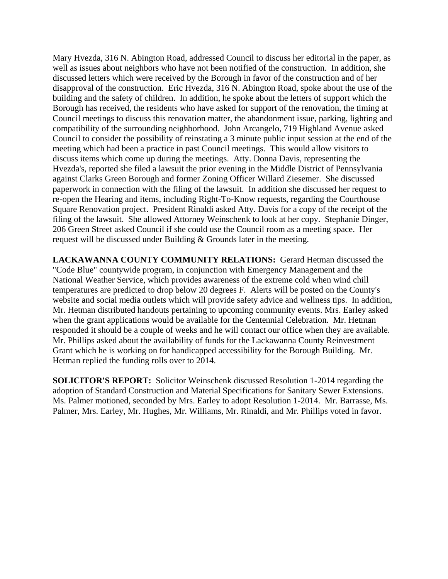Mary Hvezda, 316 N. Abington Road, addressed Council to discuss her editorial in the paper, as well as issues about neighbors who have not been notified of the construction. In addition, she discussed letters which were received by the Borough in favor of the construction and of her disapproval of the construction. Eric Hvezda, 316 N. Abington Road, spoke about the use of the building and the safety of children. In addition, he spoke about the letters of support which the Borough has received, the residents who have asked for support of the renovation, the timing at Council meetings to discuss this renovation matter, the abandonment issue, parking, lighting and compatibility of the surrounding neighborhood. John Arcangelo, 719 Highland Avenue asked Council to consider the possibility of reinstating a 3 minute public input session at the end of the meeting which had been a practice in past Council meetings. This would allow visitors to discuss items which come up during the meetings. Atty. Donna Davis, representing the Hvezda's, reported she filed a lawsuit the prior evening in the Middle District of Pennsylvania against Clarks Green Borough and former Zoning Officer Willard Ziesemer. She discussed paperwork in connection with the filing of the lawsuit. In addition she discussed her request to re-open the Hearing and items, including Right-To-Know requests, regarding the Courthouse Square Renovation project. President Rinaldi asked Atty. Davis for a copy of the receipt of the filing of the lawsuit. She allowed Attorney Weinschenk to look at her copy. Stephanie Dinger, 206 Green Street asked Council if she could use the Council room as a meeting space. Her request will be discussed under Building & Grounds later in the meeting.

**LACKAWANNA COUNTY COMMUNITY RELATIONS:** Gerard Hetman discussed the "Code Blue" countywide program, in conjunction with Emergency Management and the National Weather Service, which provides awareness of the extreme cold when wind chill temperatures are predicted to drop below 20 degrees F. Alerts will be posted on the County's website and social media outlets which will provide safety advice and wellness tips. In addition, Mr. Hetman distributed handouts pertaining to upcoming community events. Mrs. Earley asked when the grant applications would be available for the Centennial Celebration. Mr. Hetman responded it should be a couple of weeks and he will contact our office when they are available. Mr. Phillips asked about the availability of funds for the Lackawanna County Reinvestment Grant which he is working on for handicapped accessibility for the Borough Building. Mr. Hetman replied the funding rolls over to 2014.

**SOLICITOR'S REPORT:** Solicitor Weinschenk discussed Resolution 1-2014 regarding the adoption of Standard Construction and Material Specifications for Sanitary Sewer Extensions. Ms. Palmer motioned, seconded by Mrs. Earley to adopt Resolution 1-2014. Mr. Barrasse, Ms. Palmer, Mrs. Earley, Mr. Hughes, Mr. Williams, Mr. Rinaldi, and Mr. Phillips voted in favor.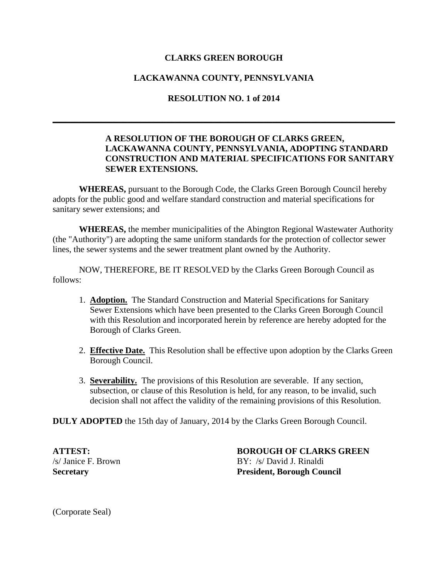# **CLARKS GREEN BOROUGH**

# **LACKAWANNA COUNTY, PENNSYLVANIA**

### **RESOLUTION NO. 1 of 2014**

**\_\_\_\_\_\_\_\_\_\_\_\_\_\_\_\_\_\_\_\_\_\_\_\_\_\_\_\_\_\_\_\_\_\_\_\_\_\_\_\_\_\_\_\_\_\_\_\_\_\_\_\_\_\_\_\_\_\_\_\_\_\_\_\_\_\_\_\_\_\_\_\_\_\_\_\_\_\_**

# **A RESOLUTION OF THE BOROUGH OF CLARKS GREEN, LACKAWANNA COUNTY, PENNSYLVANIA, ADOPTING STANDARD CONSTRUCTION AND MATERIAL SPECIFICATIONS FOR SANITARY SEWER EXTENSIONS.**

**WHEREAS,** pursuant to the Borough Code, the Clarks Green Borough Council hereby adopts for the public good and welfare standard construction and material specifications for sanitary sewer extensions; and

**WHEREAS,** the member municipalities of the Abington Regional Wastewater Authority (the "Authority") are adopting the same uniform standards for the protection of collector sewer lines, the sewer systems and the sewer treatment plant owned by the Authority.

NOW, THEREFORE, BE IT RESOLVED by the Clarks Green Borough Council as follows:

- 1. **Adoption.** The Standard Construction and Material Specifications for Sanitary Sewer Extensions which have been presented to the Clarks Green Borough Council with this Resolution and incorporated herein by reference are hereby adopted for the Borough of Clarks Green.
- 2. **Effective Date.** This Resolution shall be effective upon adoption by the Clarks Green Borough Council.
- 3. **Severability.** The provisions of this Resolution are severable. If any section, subsection, or clause of this Resolution is held, for any reason, to be invalid, such decision shall not affect the validity of the remaining provisions of this Resolution.

**DULY ADOPTED** the 15th day of January, 2014 by the Clarks Green Borough Council.

**ATTEST: BOROUGH OF CLARKS GREEN** /s/ Janice F. Brown BY: /s/ David J. Rinaldi **Secretary President, Borough Council**

(Corporate Seal)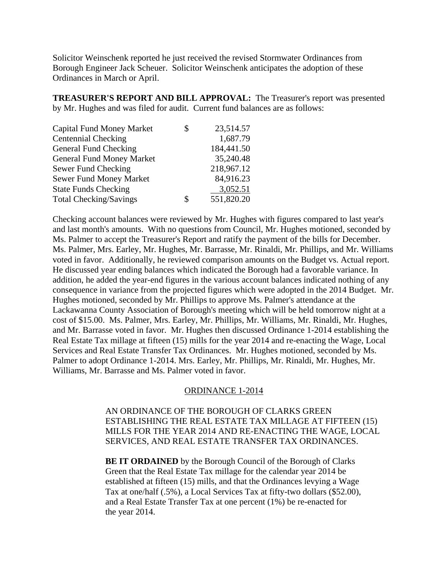Solicitor Weinschenk reported he just received the revised Stormwater Ordinances from Borough Engineer Jack Scheuer. Solicitor Weinschenk anticipates the adoption of these Ordinances in March or April.

**TREASURER'S REPORT AND BILL APPROVAL:** The Treasurer's report was presented by Mr. Hughes and was filed for audit. Current fund balances are as follows:

| <b>Capital Fund Money Market</b> | \$<br>23,514.57  |
|----------------------------------|------------------|
| <b>Centennial Checking</b>       | 1,687.79         |
| General Fund Checking            | 184,441.50       |
| <b>General Fund Money Market</b> | 35,240.48        |
| Sewer Fund Checking              | 218,967.12       |
| Sewer Fund Money Market          | 84,916.23        |
| <b>State Funds Checking</b>      | 3,052.51         |
| <b>Total Checking/Savings</b>    | \$<br>551,820.20 |

Checking account balances were reviewed by Mr. Hughes with figures compared to last year's and last month's amounts. With no questions from Council, Mr. Hughes motioned, seconded by Ms. Palmer to accept the Treasurer's Report and ratify the payment of the bills for December. Ms. Palmer, Mrs. Earley, Mr. Hughes, Mr. Barrasse, Mr. Rinaldi, Mr. Phillips, and Mr. Williams voted in favor. Additionally, he reviewed comparison amounts on the Budget vs. Actual report. He discussed year ending balances which indicated the Borough had a favorable variance. In addition, he added the year-end figures in the various account balances indicated nothing of any consequence in variance from the projected figures which were adopted in the 2014 Budget. Mr. Hughes motioned, seconded by Mr. Phillips to approve Ms. Palmer's attendance at the Lackawanna County Association of Borough's meeting which will be held tomorrow night at a cost of \$15.00. Ms. Palmer, Mrs. Earley, Mr. Phillips, Mr. Williams, Mr. Rinaldi, Mr. Hughes, and Mr. Barrasse voted in favor. Mr. Hughes then discussed Ordinance 1-2014 establishing the Real Estate Tax millage at fifteen (15) mills for the year 2014 and re-enacting the Wage, Local Services and Real Estate Transfer Tax Ordinances. Mr. Hughes motioned, seconded by Ms. Palmer to adopt Ordinance 1-2014. Mrs. Earley, Mr. Phillips, Mr. Rinaldi, Mr. Hughes, Mr. Williams, Mr. Barrasse and Ms. Palmer voted in favor.

#### ORDINANCE 1-2014

AN ORDINANCE OF THE BOROUGH OF CLARKS GREEN ESTABLISHING THE REAL ESTATE TAX MILLAGE AT FIFTEEN (15) MILLS FOR THE YEAR 2014 AND RE-ENACTING THE WAGE, LOCAL SERVICES, AND REAL ESTATE TRANSFER TAX ORDINANCES.

**BE IT ORDAINED** by the Borough Council of the Borough of Clarks Green that the Real Estate Tax millage for the calendar year 2014 be established at fifteen (15) mills, and that the Ordinances levying a Wage Tax at one/half (.5%), a Local Services Tax at fifty-two dollars (\$52.00), and a Real Estate Transfer Tax at one percent (1%) be re-enacted for the year 2014.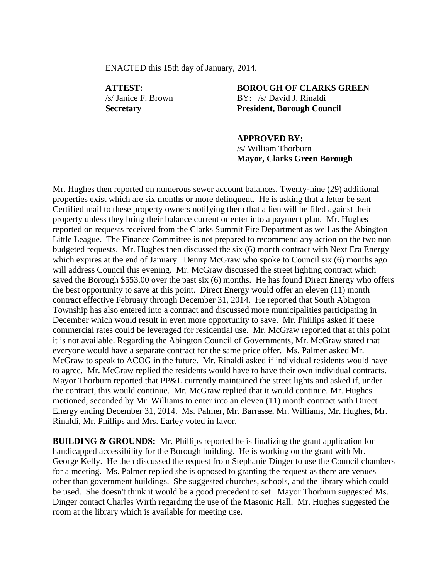ENACTED this 15th day of January, 2014.

**ATTEST: BOROUGH OF CLARKS GREEN** /s/ Janice F. Brown BY: /s/ David J. Rinaldi **Secretary President, Borough Council**

> **APPROVED BY:** /s/ William Thorburn **Mayor, Clarks Green Borough**

Mr. Hughes then reported on numerous sewer account balances. Twenty-nine (29) additional properties exist which are six months or more delinquent. He is asking that a letter be sent Certified mail to these property owners notifying them that a lien will be filed against their property unless they bring their balance current or enter into a payment plan. Mr. Hughes reported on requests received from the Clarks Summit Fire Department as well as the Abington Little League. The Finance Committee is not prepared to recommend any action on the two non budgeted requests. Mr. Hughes then discussed the six (6) month contract with Next Era Energy which expires at the end of January. Denny McGraw who spoke to Council six (6) months ago will address Council this evening. Mr. McGraw discussed the street lighting contract which saved the Borough \$553.00 over the past six (6) months. He has found Direct Energy who offers the best opportunity to save at this point. Direct Energy would offer an eleven (11) month contract effective February through December 31, 2014. He reported that South Abington Township has also entered into a contract and discussed more municipalities participating in December which would result in even more opportunity to save. Mr. Phillips asked if these commercial rates could be leveraged for residential use. Mr. McGraw reported that at this point it is not available. Regarding the Abington Council of Governments, Mr. McGraw stated that everyone would have a separate contract for the same price offer. Ms. Palmer asked Mr. McGraw to speak to ACOG in the future. Mr. Rinaldi asked if individual residents would have to agree. Mr. McGraw replied the residents would have to have their own individual contracts. Mayor Thorburn reported that PP&L currently maintained the street lights and asked if, under the contract, this would continue. Mr. McGraw replied that it would continue. Mr. Hughes motioned, seconded by Mr. Williams to enter into an eleven (11) month contract with Direct Energy ending December 31, 2014. Ms. Palmer, Mr. Barrasse, Mr. Williams, Mr. Hughes, Mr. Rinaldi, Mr. Phillips and Mrs. Earley voted in favor.

**BUILDING & GROUNDS:** Mr. Phillips reported he is finalizing the grant application for handicapped accessibility for the Borough building. He is working on the grant with Mr. George Kelly. He then discussed the request from Stephanie Dinger to use the Council chambers for a meeting. Ms. Palmer replied she is opposed to granting the request as there are venues other than government buildings. She suggested churches, schools, and the library which could be used. She doesn't think it would be a good precedent to set. Mayor Thorburn suggested Ms. Dinger contact Charles Wirth regarding the use of the Masonic Hall. Mr. Hughes suggested the room at the library which is available for meeting use.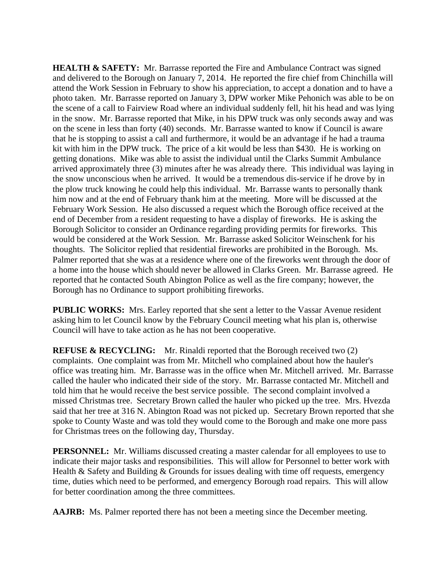**HEALTH & SAFETY:** Mr. Barrasse reported the Fire and Ambulance Contract was signed and delivered to the Borough on January 7, 2014. He reported the fire chief from Chinchilla will attend the Work Session in February to show his appreciation, to accept a donation and to have a photo taken. Mr. Barrasse reported on January 3, DPW worker Mike Pehonich was able to be on the scene of a call to Fairview Road where an individual suddenly fell, hit his head and was lying in the snow. Mr. Barrasse reported that Mike, in his DPW truck was only seconds away and was on the scene in less than forty (40) seconds. Mr. Barrasse wanted to know if Council is aware that he is stopping to assist a call and furthermore, it would be an advantage if he had a trauma kit with him in the DPW truck. The price of a kit would be less than \$430. He is working on getting donations. Mike was able to assist the individual until the Clarks Summit Ambulance arrived approximately three (3) minutes after he was already there. This individual was laying in the snow unconscious when he arrived. It would be a tremendous dis-service if he drove by in the plow truck knowing he could help this individual. Mr. Barrasse wants to personally thank him now and at the end of February thank him at the meeting. More will be discussed at the February Work Session. He also discussed a request which the Borough office received at the end of December from a resident requesting to have a display of fireworks. He is asking the Borough Solicitor to consider an Ordinance regarding providing permits for fireworks. This would be considered at the Work Session. Mr. Barrasse asked Solicitor Weinschenk for his thoughts. The Solicitor replied that residential fireworks are prohibited in the Borough. Ms. Palmer reported that she was at a residence where one of the fireworks went through the door of a home into the house which should never be allowed in Clarks Green. Mr. Barrasse agreed. He reported that he contacted South Abington Police as well as the fire company; however, the Borough has no Ordinance to support prohibiting fireworks.

**PUBLIC WORKS:** Mrs. Earley reported that she sent a letter to the Vassar Avenue resident asking him to let Council know by the February Council meeting what his plan is, otherwise Council will have to take action as he has not been cooperative.

**REFUSE & RECYCLING:** Mr. Rinaldi reported that the Borough received two (2) complaints. One complaint was from Mr. Mitchell who complained about how the hauler's office was treating him. Mr. Barrasse was in the office when Mr. Mitchell arrived. Mr. Barrasse called the hauler who indicated their side of the story. Mr. Barrasse contacted Mr. Mitchell and told him that he would receive the best service possible. The second complaint involved a missed Christmas tree. Secretary Brown called the hauler who picked up the tree. Mrs. Hvezda said that her tree at 316 N. Abington Road was not picked up. Secretary Brown reported that she spoke to County Waste and was told they would come to the Borough and make one more pass for Christmas trees on the following day, Thursday.

**PERSONNEL:** Mr. Williams discussed creating a master calendar for all employees to use to indicate their major tasks and responsibilities. This will allow for Personnel to better work with Health & Safety and Building & Grounds for issues dealing with time off requests, emergency time, duties which need to be performed, and emergency Borough road repairs. This will allow for better coordination among the three committees.

**AAJRB:** Ms. Palmer reported there has not been a meeting since the December meeting.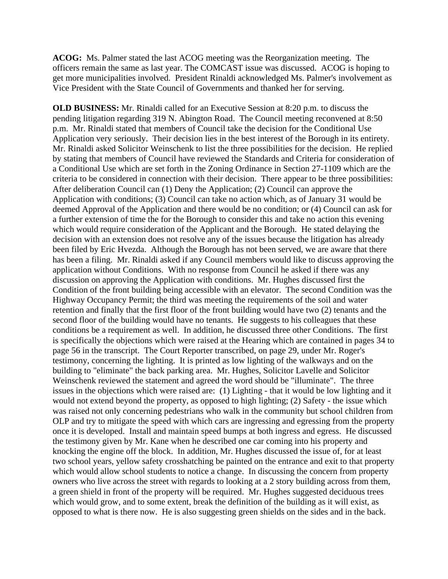**ACOG:** Ms. Palmer stated the last ACOG meeting was the Reorganization meeting. The officers remain the same as last year. The COMCAST issue was discussed. ACOG is hoping to get more municipalities involved. President Rinaldi acknowledged Ms. Palmer's involvement as Vice President with the State Council of Governments and thanked her for serving.

**OLD BUSINESS:** Mr. Rinaldi called for an Executive Session at 8:20 p.m. to discuss the pending litigation regarding 319 N. Abington Road. The Council meeting reconvened at 8:50 p.m. Mr. Rinaldi stated that members of Council take the decision for the Conditional Use Application very seriously. Their decision lies in the best interest of the Borough in its entirety. Mr. Rinaldi asked Solicitor Weinschenk to list the three possibilities for the decision. He replied by stating that members of Council have reviewed the Standards and Criteria for consideration of a Conditional Use which are set forth in the Zoning Ordinance in Section 27-1109 which are the criteria to be considered in connection with their decision. There appear to be three possibilities: After deliberation Council can (1) Deny the Application; (2) Council can approve the Application with conditions; (3) Council can take no action which, as of January 31 would be deemed Approval of the Application and there would be no condition; or (4) Council can ask for a further extension of time the for the Borough to consider this and take no action this evening which would require consideration of the Applicant and the Borough. He stated delaying the decision with an extension does not resolve any of the issues because the litigation has already been filed by Eric Hvezda. Although the Borough has not been served, we are aware that there has been a filing. Mr. Rinaldi asked if any Council members would like to discuss approving the application without Conditions. With no response from Council he asked if there was any discussion on approving the Application with conditions. Mr. Hughes discussed first the Condition of the front building being accessible with an elevator. The second Condition was the Highway Occupancy Permit; the third was meeting the requirements of the soil and water retention and finally that the first floor of the front building would have two (2) tenants and the second floor of the building would have no tenants. He suggests to his colleagues that these conditions be a requirement as well. In addition, he discussed three other Conditions. The first is specifically the objections which were raised at the Hearing which are contained in pages 34 to page 56 in the transcript. The Court Reporter transcribed, on page 29, under Mr. Roger's testimony, concerning the lighting. It is printed as low lighting of the walkways and on the building to "eliminate" the back parking area. Mr. Hughes, Solicitor Lavelle and Solicitor Weinschenk reviewed the statement and agreed the word should be "illuminate". The three issues in the objections which were raised are: (1) Lighting - that it would be low lighting and it would not extend beyond the property, as opposed to high lighting; (2) Safety - the issue which was raised not only concerning pedestrians who walk in the community but school children from OLP and try to mitigate the speed with which cars are ingressing and egressing from the property once it is developed. Install and maintain speed bumps at both ingress and egress. He discussed the testimony given by Mr. Kane when he described one car coming into his property and knocking the engine off the block. In addition, Mr. Hughes discussed the issue of, for at least two school years, yellow safety crosshatching be painted on the entrance and exit to that property which would allow school students to notice a change. In discussing the concern from property owners who live across the street with regards to looking at a 2 story building across from them, a green shield in front of the property will be required. Mr. Hughes suggested deciduous trees which would grow, and to some extent, break the definition of the building as it will exist, as opposed to what is there now. He is also suggesting green shields on the sides and in the back.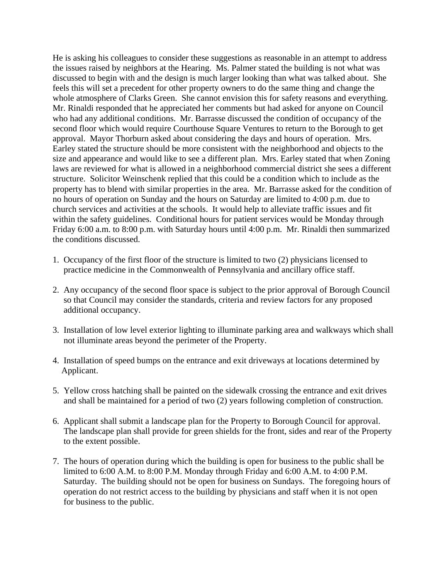He is asking his colleagues to consider these suggestions as reasonable in an attempt to address the issues raised by neighbors at the Hearing. Ms. Palmer stated the building is not what was discussed to begin with and the design is much larger looking than what was talked about. She feels this will set a precedent for other property owners to do the same thing and change the whole atmosphere of Clarks Green. She cannot envision this for safety reasons and everything. Mr. Rinaldi responded that he appreciated her comments but had asked for anyone on Council who had any additional conditions. Mr. Barrasse discussed the condition of occupancy of the second floor which would require Courthouse Square Ventures to return to the Borough to get approval. Mayor Thorburn asked about considering the days and hours of operation. Mrs. Earley stated the structure should be more consistent with the neighborhood and objects to the size and appearance and would like to see a different plan. Mrs. Earley stated that when Zoning laws are reviewed for what is allowed in a neighborhood commercial district she sees a different structure. Solicitor Weinschenk replied that this could be a condition which to include as the property has to blend with similar properties in the area. Mr. Barrasse asked for the condition of no hours of operation on Sunday and the hours on Saturday are limited to 4:00 p.m. due to church services and activities at the schools. It would help to alleviate traffic issues and fit within the safety guidelines. Conditional hours for patient services would be Monday through Friday 6:00 a.m. to 8:00 p.m. with Saturday hours until 4:00 p.m. Mr. Rinaldi then summarized the conditions discussed.

- 1. Occupancy of the first floor of the structure is limited to two (2) physicians licensed to practice medicine in the Commonwealth of Pennsylvania and ancillary office staff.
- 2. Any occupancy of the second floor space is subject to the prior approval of Borough Council so that Council may consider the standards, criteria and review factors for any proposed additional occupancy.
- 3. Installation of low level exterior lighting to illuminate parking area and walkways which shall not illuminate areas beyond the perimeter of the Property.
- 4. Installation of speed bumps on the entrance and exit driveways at locations determined by Applicant.
- 5. Yellow cross hatching shall be painted on the sidewalk crossing the entrance and exit drives and shall be maintained for a period of two (2) years following completion of construction.
- 6. Applicant shall submit a landscape plan for the Property to Borough Council for approval. The landscape plan shall provide for green shields for the front, sides and rear of the Property to the extent possible.
- 7. The hours of operation during which the building is open for business to the public shall be limited to 6:00 A.M. to 8:00 P.M. Monday through Friday and 6:00 A.M. to 4:00 P.M. Saturday. The building should not be open for business on Sundays. The foregoing hours of operation do not restrict access to the building by physicians and staff when it is not open for business to the public.